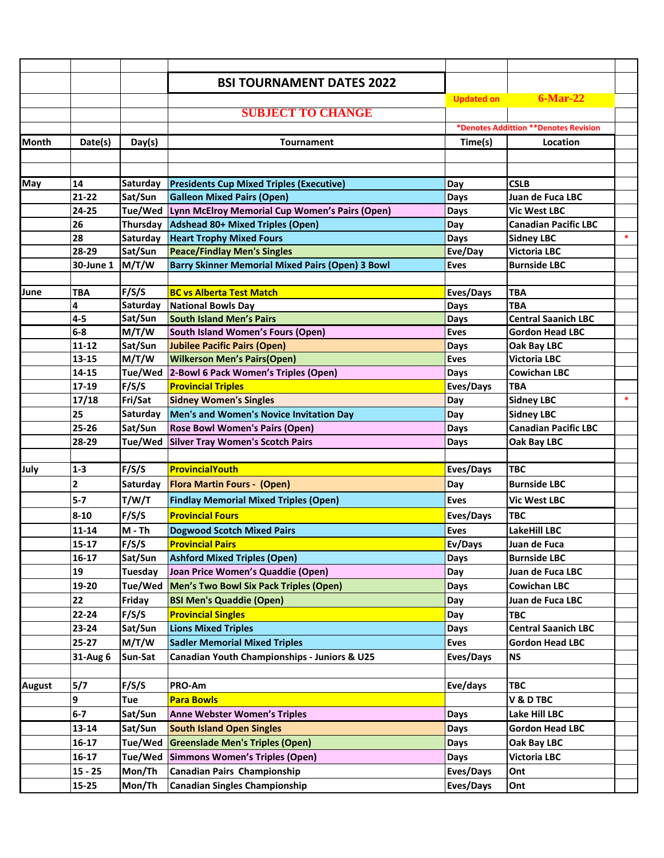|        |           |                  | <b>BSI TOURNAMENT DATES 2022</b>                        |                                       |                             |        |
|--------|-----------|------------------|---------------------------------------------------------|---------------------------------------|-----------------------------|--------|
|        |           |                  |                                                         | <b>Updated on</b>                     | $6$ -Mar-22                 |        |
|        |           |                  | <b>SUBJECT TO CHANGE</b>                                |                                       |                             |        |
|        |           |                  |                                                         | *Denotes Addittion **Denotes Revision |                             |        |
| Month  | Date(s)   | Day(s)           | <b>Tournament</b>                                       | Time(s)                               | Location                    |        |
|        |           |                  |                                                         |                                       |                             |        |
|        |           |                  |                                                         |                                       |                             |        |
| May    | 14        | Saturday         | <b>Presidents Cup Mixed Triples (Executive)</b>         | Day                                   | <b>CSLB</b>                 |        |
|        | $21 - 22$ | Sat/Sun          | <b>Galleon Mixed Pairs (Open)</b>                       | Days                                  | Juan de Fuca LBC            |        |
|        | 24-25     | Tue/Wed          | Lynn McElroy Memorial Cup Women's Pairs (Open)          | Days                                  | <b>Vic West LBC</b>         |        |
|        | 26        | Thursday         | Adshead 80+ Mixed Triples (Open)                        | Day                                   | <b>Canadian Pacific LBC</b> |        |
|        | 28        | Saturday         | <b>Heart Trophy Mixed Fours</b>                         | Days                                  | <b>Sidney LBC</b>           | $\ast$ |
|        | 28-29     | Sat/Sun          | <b>Peace/Findlay Men's Singles</b>                      | Eve/Day                               | <b>Victoria LBC</b>         |        |
|        | 30-June 1 | M/T/W            | <b>Barry Skinner Memorial Mixed Pairs (Open) 3 Bowl</b> | <b>Eves</b>                           | <b>Burnside LBC</b>         |        |
|        |           |                  |                                                         |                                       |                             |        |
| June   | TBA       | F/S/S            | <b>BC vs Alberta Test Match</b>                         | Eves/Days                             | <b>TBA</b>                  |        |
|        | 4         | Saturday         | <b>National Bowls Day</b>                               | Days                                  | <b>TBA</b>                  |        |
|        | $4 - 5$   | Sat/Sun          | <b>South Island Men's Pairs</b>                         | Days                                  | <b>Central Saanich LBC</b>  |        |
|        | $6-8$     | M/T/W            | <b>South Island Women's Fours (Open)</b>                | <b>Eves</b>                           | <b>Gordon Head LBC</b>      |        |
|        | $11 - 12$ | Sat/Sun          | <b>Jubilee Pacific Pairs (Open)</b>                     | Days                                  | Oak Bay LBC                 |        |
|        | $13 - 15$ | M/T/W            | <b>Wilkerson Men's Pairs(Open)</b>                      | <b>Eves</b>                           | <b>Victoria LBC</b>         |        |
|        | 14-15     | Tue/Wed          | 2-Bowl 6 Pack Women's Triples (Open)                    | <b>Days</b>                           | <b>Cowichan LBC</b>         |        |
|        | 17-19     | F/S/S            | <b>Provincial Triples</b>                               | Eves/Days                             | <b>TBA</b>                  |        |
|        | 17/18     | Fri/Sat          | <b>Sidney Women's Singles</b>                           | Day                                   | <b>Sidney LBC</b>           | $\ast$ |
|        | 25        | Saturday         | Men's and Women's Novice Invitation Day                 | Day                                   | <b>Sidney LBC</b>           |        |
|        | $25 - 26$ | Sat/Sun          | <b>Rose Bowl Women's Pairs (Open)</b>                   | Days                                  | <b>Canadian Pacific LBC</b> |        |
|        | 28-29     | Tue/Wed          | <b>Silver Tray Women's Scotch Pairs</b>                 | Days                                  | Oak Bay LBC                 |        |
|        |           |                  |                                                         |                                       |                             |        |
| July   | $1 - 3$   | F/S/S            | <b>ProvincialYouth</b>                                  | Eves/Days                             | <b>TBC</b>                  |        |
|        | 2         | Saturday         | <b>Flora Martin Fours - (Open)</b>                      | Day                                   | <b>Burnside LBC</b>         |        |
|        | $5 - 7$   | T/W/T            | <b>Findlay Memorial Mixed Triples (Open)</b>            | <b>Eves</b>                           | <b>Vic West LBC</b>         |        |
|        | $8 - 10$  | F/S/S            | <b>Provincial Fours</b>                                 | Eves/Days                             | <b>TBC</b>                  |        |
|        | $11 - 14$ | $M - Th$         | <b>Dogwood Scotch Mixed Pairs</b>                       | <b>Eves</b>                           | <b>LakeHill LBC</b>         |        |
|        | $15 - 17$ | F/S/S            | <b>Provincial Pairs</b>                                 | Ev/Days                               | Juan de Fuca                |        |
|        | 16-17     | Sat/Sun          | <b>Ashford Mixed Triples (Open)</b>                     | Days                                  | <b>Burnside LBC</b>         |        |
|        | 19        | Tuesday          | Joan Price Women's Quaddie (Open)                       | Day                                   | Juan de Fuca LBC            |        |
|        | 19-20     | Tue/Wed          | Men's Two Bowl Six Pack Triples (Open)                  | Days                                  | <b>Cowichan LBC</b>         |        |
|        | 22        | Friday           | <b>BSI Men's Quaddie (Open)</b>                         | Day                                   | Juan de Fuca LBC            |        |
|        | 22-24     | F/S/S            | <b>Provincial Singles</b>                               | Day                                   | <b>TBC</b>                  |        |
|        | 23-24     |                  | <b>Lions Mixed Triples</b>                              |                                       | <b>Central Saanich LBC</b>  |        |
|        | $25 - 27$ | Sat/Sun<br>M/T/W |                                                         | Days                                  |                             |        |
|        |           |                  | <b>Sadler Memorial Mixed Triples</b>                    | Eves                                  | <b>Gordon Head LBC</b>      |        |
|        | 31-Aug 6  | Sun-Sat          | <b>Canadian Youth Championships - Juniors &amp; U25</b> | Eves/Days                             | <b>NS</b>                   |        |
| August | 5/7       | F/S/S            | PRO-Am                                                  | Eve/days                              | <b>TBC</b>                  |        |
|        | 9         | Tue              | <b>Para Bowls</b>                                       |                                       | <b>V &amp; D TBC</b>        |        |
|        | $6-7$     | Sat/Sun          | <b>Anne Webster Women's Triples</b>                     | <b>Days</b>                           | Lake Hill LBC               |        |
|        | 13-14     | Sat/Sun          | <b>South Island Open Singles</b>                        | Days                                  | <b>Gordon Head LBC</b>      |        |
|        | 16-17     | Tue/Wed          | <b>Greenslade Men's Triples (Open)</b>                  | Days                                  | Oak Bay LBC                 |        |
|        | $16 - 17$ | Tue/Wed          | Simmons Women's Triples (Open)                          | Days                                  | <b>Victoria LBC</b>         |        |
|        |           |                  |                                                         |                                       |                             |        |
|        | $15 - 25$ | Mon/Th           | Canadian Pairs Championship                             | Eves/Days                             | Ont                         |        |
|        | 15-25     | Mon/Th           | <b>Canadian Singles Championship</b>                    | Eves/Days                             | Ont                         |        |